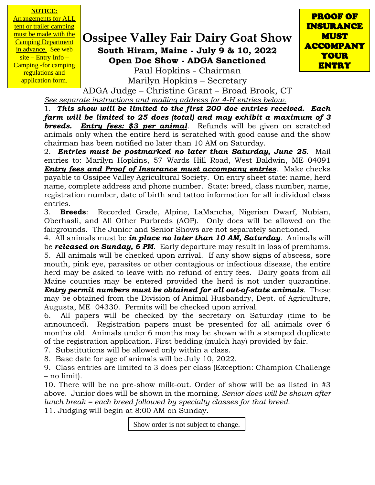#### **NOTICE:**

**Arrangements for ALL** tent or trailer camping must be made with the Camping Department in advance. See web  $site$  – Entry Info – Camping -for camping regulations and application form.

# **Ossipee Valley Fair Dairy Goat Show South Hiram, Maine - July 9 & 10, 2022 Open Doe Show - ADGA Sanctioned**

PROOF OF INSURANCE MUST ACCOMPANY YOUR ENTRY

Paul Hopkins - Chairman Marilyn Hopkins – Secretary

ADGA Judge – Christine Grant – Broad Brook, CT *See separate instructions and mailing address for 4-H entries below.*

1. *This show will be limited to the first 200 doe entries received. Each farm will be limited to 25 does (total) and may exhibit a maximum of 3 breeds. Entry fees: \$3 per animal*. Refunds will be given on scratched animals only when the entire herd is scratched with good cause and the show chairman has been notified no later than 10 AM on Saturday.

2. *Entries must be postmarked no later than Saturday, June 25*. Mail entries to: Marilyn Hopkins, 57 Wards Hill Road, West Baldwin, ME 04091 *Entry fees and Proof of Insurance must accompany entries*. Make checks payable to Ossipee Valley Agricultural Society. On entry sheet state: name, herd name, complete address and phone number. State: breed, class number, name, registration number, date of birth and tattoo information for all individual class entries.

3. **Breeds**: Recorded Grade, Alpine, LaMancha, Nigerian Dwarf, Nubian, Oberhasli, and All Other Purbreds (AOP). Only does will be allowed on the fairgrounds. The Junior and Senior Shows are not separately sanctioned.

4. All animals must be *in place no later than 10 AM, Saturday*. Animals will be *released on Sunday, 6 PM*. Early departure may result in loss of premiums. 5. All animals will be checked upon arrival. If any show signs of abscess, sore mouth, pink eye, parasites or other contagious or infectious disease, the entire herd may be asked to leave with no refund of entry fees. Dairy goats from all Maine counties may be entered provided the herd is not under quarantine. *Entry permit numbers must be obtained for all out-of-state animals*. These

may be obtained from the Division of Animal Husbandry, Dept. of Agriculture, Augusta, ME 04330. Permits will be checked upon arrival.

6. All papers will be checked by the secretary on Saturday (time to be announced). Registration papers must be presented for all animals over 6 months old. Animals under 6 months may be shown with a stamped duplicate of the registration application. First bedding (mulch hay) provided by fair.

7. Substitutions will be allowed only within a class.

8. Base date for age of animals will be July 10, 2022.

9. Class entries are limited to 3 does per class (Exception: Champion Challenge – no limit).

10. There will be no pre-show milk-out. Order of show will be as listed in #3 above. Junior does will be shown in the morning. *Senior does will be shown after lunch break – each breed followed by specialty classes for that breed.*

11. Judging will begin at 8:00 AM on Sunday.

Show order is not subject to change.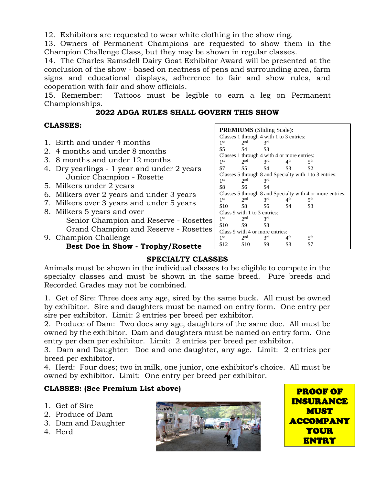12. Exhibitors are requested to wear white clothing in the show ring.

13. Owners of Permanent Champions are requested to show them in the Champion Challenge Class, but they may be shown in regular classes.

14. The Charles Ramsdell Dairy Goat Exhibitor Award will be presented at the conclusion of the show - based on neatness of pens and surrounding area, farm signs and educational displays, adherence to fair and show rules, and cooperation with fair and show officials.

15. Remember: Tattoos must be legible to earn a leg on Permanent Championships.

#### **2022 ADGA RULES SHALL GOVERN THIS SHOW**

### **CLASSES:**

1. Birth and under 4 months 2. 4 months and under 8 months 3. 8 months and under 12 months 4. Dry yearlings - 1 year and under 2 years Junior Champion - Rosette 5. Milkers under 2 years 6. Milkers over 2 years and under 3 years 7. Milkers over 3 years and under 5 years 8. Milkers 5 years and over Senior Champion and Reserve - Rosettes Grand Champion and Reserve - Rosettes 9. Champion Challenge **Best Doe in Show - Trophy/Rosette PREMIUMS** (Sliding Scale): Classes 1 through 4 with 1 to 3 entries:  $1<sup>st</sup>$  2  $2<sub>nd</sub>$ 3rd \$5 \$4 \$3 Classes 1 through 4 with 4 or more entries:<br>  $1^{\text{st}}$   $2^{\text{nd}}$   $3^{\text{rd}}$   $4^{\text{th}}$   $5^{\text{th}}$  $1<sup>st</sup>$  2  $2<sup>nd</sup>$  \$5  $3^{\text{rd}}$ th  $5^{\text{th}}$ \$7 \$5 \$4 \$3 \$2 Classes 5 through 8 and Specialty with 1 to 3 entries:  $1<sup>st</sup>$ st  $2<sup>nd</sup>$  3  $3<sup>rd</sup>$ \$8 \$6 \$4 Classes 5 through 8 and Specialty with 4 or more entries:  $\frac{1}{1}$ st<br>\$10 st  $2<sup>nd</sup>$  3  $3^{\text{rd}}$  4<sup>th</sup> th  $5^{\text{th}}$ \$10 \$8 \$6 \$4 \$3 Class 9 with 1 to 3 entries: 1<sup>st</sup> st  $2<sup>nd</sup>$  3 3rd \$10 \$9 \$8 Class 9 with 4 or more entries:  $1<sup>st</sup>$  2  $2<sub>nd</sub>$  $3<sup>rd</sup>$  $4<sup>th</sup>$  $5<sup>th</sup>$ \$12 \$10 \$9 \$8 \$7

## **SPECIALTY CLASSES**

Animals must be shown in the individual classes to be eligible to compete in the specialty classes and must be shown in the same breed. Pure breeds and Recorded Grades may not be combined.

1. Get of Sire: Three does any age, sired by the same buck. All must be owned by exhibitor. Sire and daughters must be named on entry form. One entry per sire per exhibitor. Limit: 2 entries per breed per exhibitor.

2. Produce of Dam: Two does any age, daughters of the same doe. All must be owned by the exhibitor. Dam and daughters must be named on entry form. One entry per dam per exhibitor. Limit: 2 entries per breed per exhibitor.

3. Dam and Daughter: Doe and one daughter, any age. Limit: 2 entries per breed per exhibitor.

4. Herd: Four does; two in milk, one junior, one exhibitor's choice. All must be owned by exhibitor. Limit: One entry per breed per exhibitor.

### **CLASSES: (See Premium List above)**

- 1. Get of Sire
- 2. Produce of Dam
- 3. Dam and Daughter
- 4. Herd



PROOF OF INSURANCE MUST ACCOMPANY YOUR ENTRY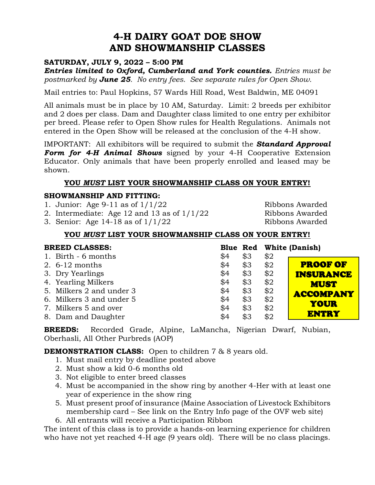# **4-H DAIRY GOAT DOE SHOW AND SHOWMANSHIP CLASSES**

### **SATURDAY, JULY 9, 2022 – 5:00 PM**

*Entries limited to Oxford, Cumberland and York counties. Entries must be postmarked by June 25. No entry fees. See separate rules for Open Show.* 

Mail entries to: Paul Hopkins, 57 Wards Hill Road, West Baldwin, ME 04091

All animals must be in place by 10 AM, Saturday. Limit: 2 breeds per exhibitor and 2 does per class. Dam and Daughter class limited to one entry per exhibitor per breed. Please refer to Open Show rules for Health Regulations. Animals not entered in the Open Show will be released at the conclusion of the 4-H show.

IMPORTANT: All exhibitors will be required to submit the *Standard Approval Form for 4-H Animal Shows* signed by your 4-H Cooperative Extension Educator. Only animals that have been properly enrolled and leased may be shown.

### **YOU** *MUST* **LIST YOUR SHOWMANSHIP CLASS ON YOUR ENTRY!**

### **SHOWMANSHIP AND FITTING:**

1. Junior: Age  $9-11$  as of  $1/1/22$  Ribbons Awarded

2. Intermediate: Age 12 and 13 as of  $1/1/22$  Ribbons Awarded

3. Senior: Age 14-18 as of 1/1/22 Ribbons Awarded

### **YOU** *MUST* **LIST YOUR SHOWMANSHIP CLASS ON YOUR ENTRY!**

| <b>BREED CLASSES:</b>    |     |     |     | <b>Blue Red White (Danish)</b> |
|--------------------------|-----|-----|-----|--------------------------------|
| 1. Birth - 6 months      | \$4 | \$3 | \$2 |                                |
| 2. $6-12$ months         | \$4 | \$3 | \$2 | <b>PROOF OF</b>                |
| 3. Dry Yearlings         | \$4 | \$3 | \$2 | <b>INSURANCE</b>               |
| 4. Yearling Milkers      | \$4 | \$3 | \$2 | <b>MUST</b>                    |
| 5. Milkers 2 and under 3 | \$4 | \$3 | \$2 | <b>ACCOMPANY</b>               |
| 6. Milkers 3 and under 5 | \$4 | \$3 | \$2 |                                |
| 7. Milkers 5 and over    | \$4 | \$3 | \$2 | <b>YOUR</b>                    |
| 8. Dam and Daughter      | \$4 | \$3 | \$2 | <b>ENTRY</b>                   |

**BREEDS:** Recorded Grade, Alpine, LaMancha, Nigerian Dwarf, Nubian, Oberhasli, All Other Purbreds (AOP)

### **DEMONSTRATION CLASS:** Open to children 7 & 8 years old.

- 1. Must mail entry by deadline posted above
- 2. Must show a kid 0-6 months old
- 3. Not eligible to enter breed classes
- 4. Must be accompanied in the show ring by another 4-Her with at least one year of experience in the show ring
- 5. Must present proof of insurance (Maine Association of Livestock Exhibitors membership card – See link on the Entry Info page of the OVF web site)
- 6. All entrants will receive a Participation Ribbon

The intent of this class is to provide a hands-on learning experience for children who have not yet reached 4-H age (9 years old). There will be no class placings.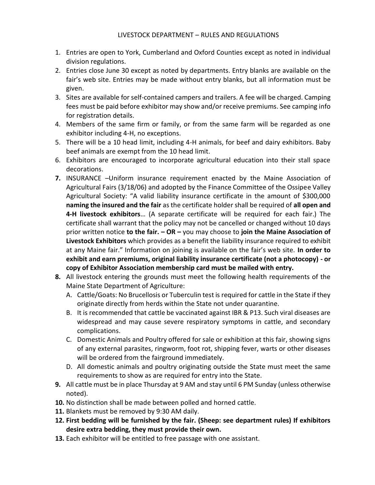- 1. Entries are open to York, Cumberland and Oxford Counties except as noted in individual division regulations.
- 2. Entries close June 30 except as noted by departments. Entry blanks are available on the fair's web site. Entries may be made without entry blanks, but all information must be given.
- 3. Sites are available for self-contained campers and trailers. A fee will be charged. Camping fees must be paid before exhibitor may show and/or receive premiums. See camping info for registration details.
- 4. Members of the same firm or family, or from the same farm will be regarded as one exhibitor including 4-H, no exceptions.
- 5. There will be a 10 head limit, including 4-H animals, for beef and dairy exhibitors. Baby beef animals are exempt from the 10 head limit.
- 6. Exhibitors are encouraged to incorporate agricultural education into their stall space decorations.
- **7.** INSURANCE –Uniform insurance requirement enacted by the Maine Association of Agricultural Fairs (3/18/06) and adopted by the Finance Committee of the Ossipee Valley Agricultural Society: "A valid liability insurance certificate in the amount of \$300,000 **naming the insured and the fair** as the certificate holder shall be required of **all open and 4-H livestock exhibitors**… (A separate certificate will be required for each fair.) The certificate shall warrant that the policy may not be cancelled or changed without 10 days prior written notice **to the fair. – OR –** you may choose to **join the Maine Association of Livestock Exhibitors** which provides as a benefit the liability insurance required to exhibit at any Maine fair." Information on joining is available on the fair's web site. **In order to exhibit and earn premiums, original liability insurance certificate (not a photocopy) - or copy of Exhibitor Association membership card must be mailed with entry.**
- **8.** All livestock entering the grounds must meet the following health requirements of the Maine State Department of Agriculture:
	- A. Cattle/Goats: No Brucellosis or Tuberculin test is required for cattle in the State if they originate directly from herds within the State not under quarantine.
	- B. It is recommended that cattle be vaccinated against IBR & P13. Such viral diseases are widespread and may cause severe respiratory symptoms in cattle, and secondary complications.
	- C. Domestic Animals and Poultry offered for sale or exhibition at this fair, showing signs of any external parasites, ringworm, foot rot, shipping fever, warts or other diseases will be ordered from the fairground immediately.
	- D. All domestic animals and poultry originating outside the State must meet the same requirements to show as are required for entry into the State.
- **9.** All cattle must be in place Thursday at 9 AM and stay until 6 PM Sunday (unless otherwise noted).
- **10.** No distinction shall be made between polled and horned cattle.
- **11.** Blankets must be removed by 9:30 AM daily.
- **12. First bedding will be furnished by the fair. (Sheep: see department rules) If exhibitors desire extra bedding, they must provide their own.**
- **13.** Each exhibitor will be entitled to free passage with one assistant.